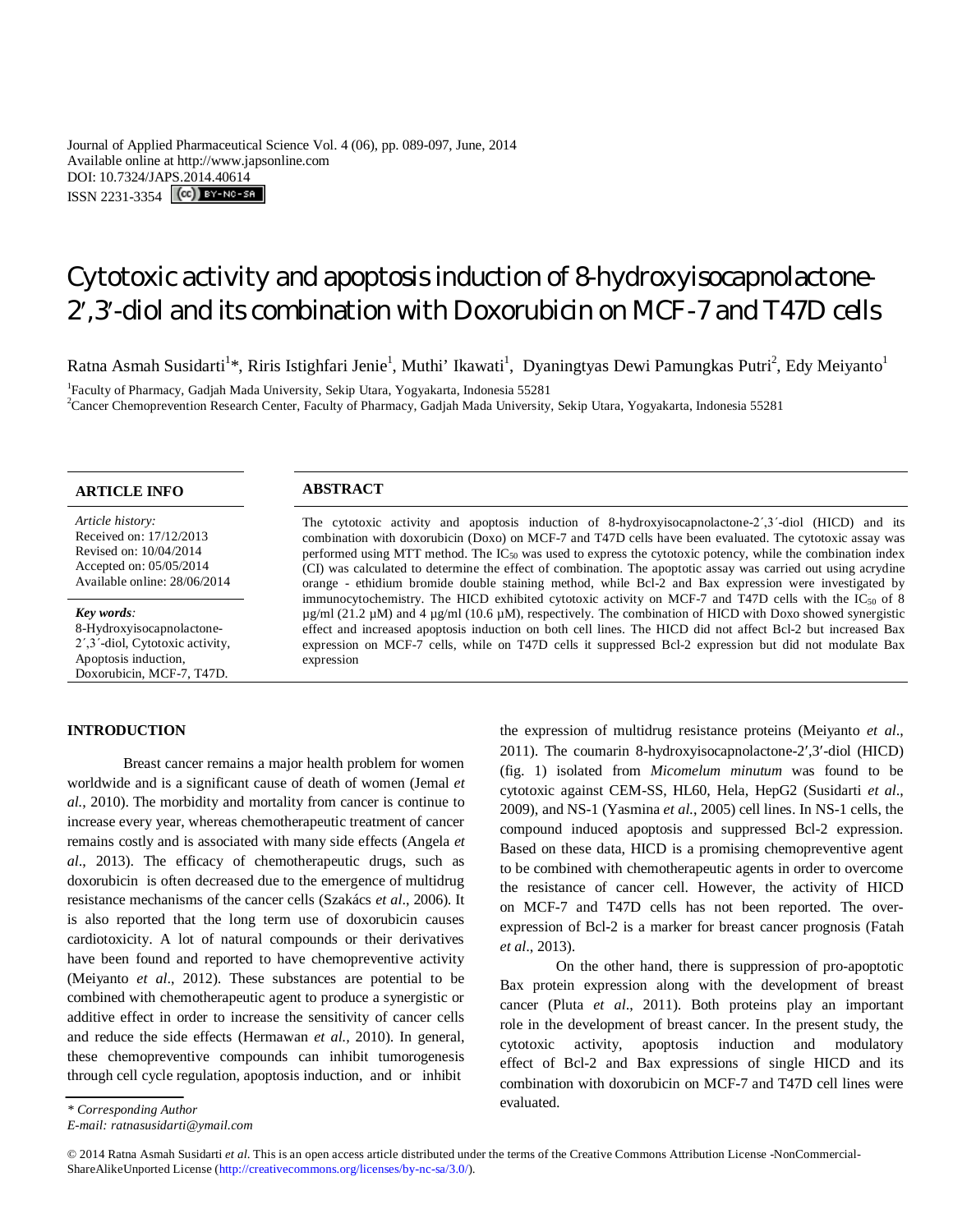Journal of Applied Pharmaceutical Science Vol. 4 (06), pp. 089-097, June, 2014 Available online at http://www.japsonline.com DOI: 10.7324/JAPS.2014.40614 ISSN 2231-3354 **(cc)** BY-NO-SA

# Cytotoxic activity and apoptosis induction of 8-hydroxyisocapnolactone-2,3-diol and its combination with Doxorubicin on MCF-7 and T47D cells

Ratna Asmah Susidarti<sup>1\*</sup>, Riris Istighfari Jenie<sup>1</sup>, Muthi' Ikawati<sup>1</sup>, Dyaningtyas Dewi Pamungkas Putri<sup>2</sup>, Edy Meiyanto<sup>1</sup>

<sup>1</sup>Faculty of Pharmacy, Gadjah Mada University, Sekip Utara, Yogyakarta, Indonesia 55281 <sup>2</sup>Cancer Chemoprevention Research Center, Faculty of Pharmacy, Gadjah Mada University, Sekip Utara, Yogyakarta, Indonesia 55281

*Article history:* Received on: 17/12/2013 Revised on: 10/04/2014 Accepted on: 05/05/2014 Available online: 28/06/2014

#### *Key words:*

8-Hydroxyisocapnolactone-2΄,3΄-diol, Cytotoxic activity, Apoptosis induction, Doxorubicin, MCF-7, T47D.

### **INTRODUCTION**

# **ARTICLE INFO ABSTRACT**

The cytotoxic activity and apoptosis induction of 8-hydroxyisocapnolactone-2΄,3΄-diol (HICD) and its combination with doxorubicin (Doxo) on MCF-7 and T47D cells have been evaluated. The cytotoxic assay was performed using MTT method. The IC<sup>50</sup> was used to express the cytotoxic potency, while the combination index (CI) was calculated to determine the effect of combination. The apoptotic assay was carried out using acrydine orange - ethidium bromide double staining method, while Bcl-2 and Bax expression were investigated by immunocytochemistry. The HICD exhibited cytotoxic activity on MCF-7 and T47D cells with the  $IC_{50}$  of 8  $\mu$ g/ml (21.2  $\mu$ M) and 4  $\mu$ g/ml (10.6  $\mu$ M), respectively. The combination of HICD with Doxo showed synergistic effect and increased apoptosis induction on both cell lines. The HICD did not affect Bcl-2 but increased Bax expression on MCF-7 cells, while on T47D cells it suppressed Bcl-2 expression but did not modulate Bax expression

Breast cancer remains a major health problem for women worldwide and is a significant cause of death of women (Jemal *et al.*, 2010). The morbidity and mortality from cancer is continue to increase every year, whereas chemotherapeutic treatment of cancer remains costly and is associated with many side effects (Angela *et al*., 2013). The efficacy of chemotherapeutic drugs, such as doxorubicin is often decreased due to the emergence of multidrug resistance mechanisms of the cancer cells (Szakács *et al*., 2006). It is also reported that the long term use of doxorubicin causes cardiotoxicity. A lot of natural compounds or their derivatives have been found and reported to have chemopreventive activity (Meiyanto *et al*., 2012). These substances are potential to be combined with chemotherapeutic agent to produce a synergistic or additive effect in order to increase the sensitivity of cancer cells and reduce the side effects (Hermawan *et al.,* 2010). In general, these chemopreventive compounds can inhibit tumorogenesis through cell cycle regulation, apoptosis induction, and or inhibit

On the other hand, there is suppression of pro-apoptotic Bax protein expression along with the development of breast cancer (Pluta *et al*., 2011). Both proteins play an important role in the development of breast cancer. In the present study, the cytotoxic activity, apoptosis induction and modulatory effect of Bcl-2 and Bax expressions of single HICD and its combination with doxorubicin on MCF-7 and T47D cell lines were evaluated.

*E-mail: ratnasusidarti@ymail.com*

© 2014 Ratna Asmah Susidarti *et al*. This is an open access article distributed under the terms of the Creative Commons Attribution License -NonCommercial-ShareAlikeUnported License (http://creativecommons.org/licenses/by-nc-sa/3.0/).

the expression of multidrug resistance proteins (Meiyanto *et al*., 2011). The coumarin 8-hydroxyisocapnolactone-2,3-diol (HICD) (fig. 1) isolated from *Micomelum minutum* was found to be cytotoxic against CEM-SS, HL60, Hela, HepG2 (Susidarti *et al*., 2009), and NS-1 (Yasmina *et al.*, 2005) cell lines. In NS-1 cells, the compound induced apoptosis and suppressed Bcl-2 expression. Based on these data, HICD is a promising chemopreventive agent to be combined with chemotherapeutic agents in order to overcome the resistance of cancer cell. However, the activity of HICD on MCF-7 and T47D cells has not been reported. The overexpression of Bcl-2 is a marker for breast cancer prognosis (Fatah *et al*., 2013).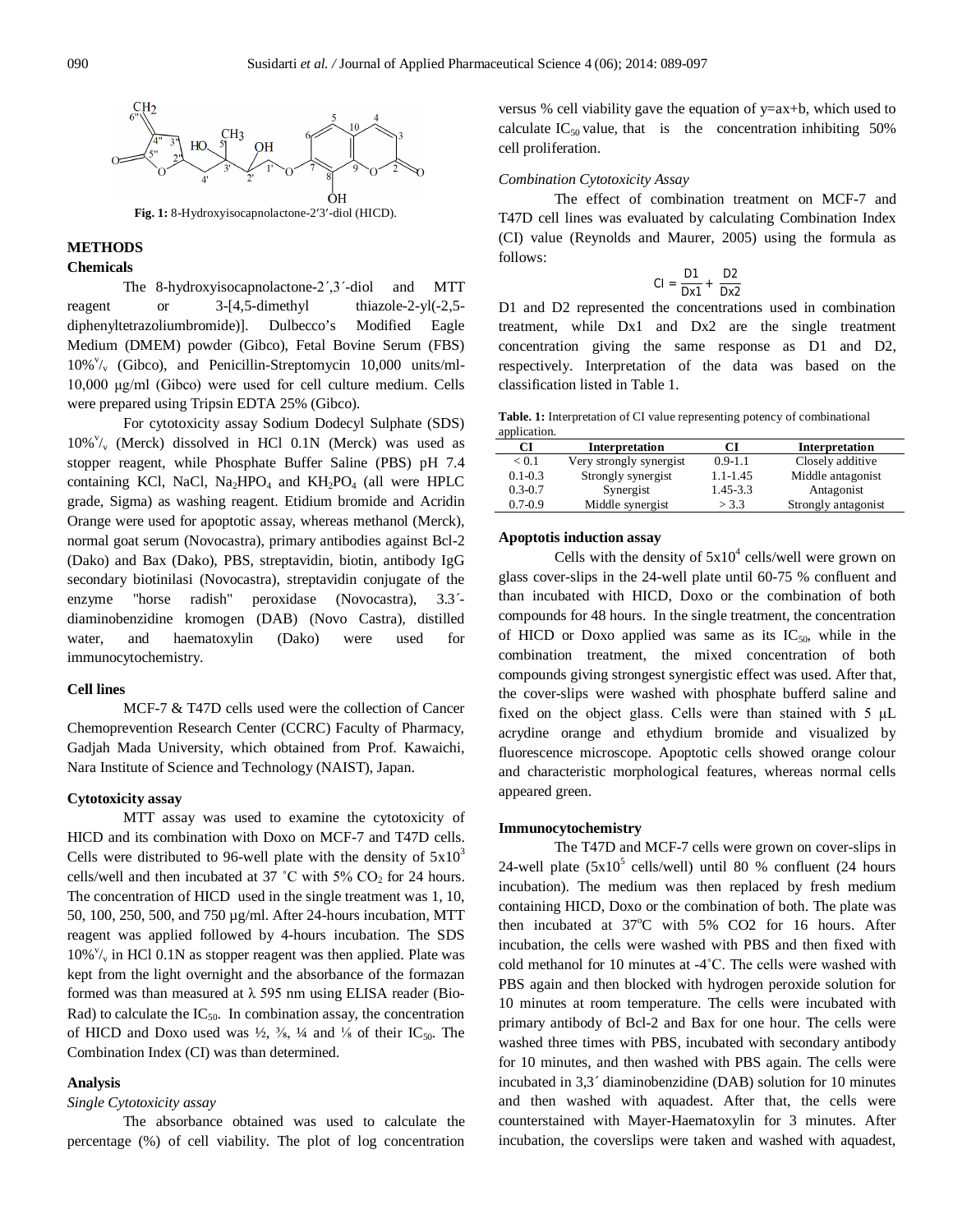

## **METHODS**

#### **Chemicals**

The 8-hydroxyisocapnolactone-2΄,3΄-diol and MTT reagent or 3-[4,5-dimethyl thiazole-2-yl(-2,5diphenyltetrazoliumbromide)]. Dulbecco's Modified Eagle Medium (DMEM) powder (Gibco), Fetal Bovine Serum (FBS) 10%<sup>v</sup>/<sub>v</sub> (Gibco), and Penicillin-Streptomycin 10,000 units/ml-10,000 μg/ml (Gibco) were used for cell culture medium. Cells were prepared using Tripsin EDTA 25% (Gibco).

For cytotoxicity assay Sodium Dodecyl Sulphate (SDS) 10%<sup>v</sup>/<sub>v</sub> (Merck) dissolved in HCl 0.1N (Merck) was used as stopper reagent, while Phosphate Buffer Saline (PBS) pH 7.4 containing KCl, NaCl, Na<sub>2</sub>HPO<sub>4</sub> and KH<sub>2</sub>PO<sub>4</sub> (all were HPLC grade, Sigma) as washing reagent. Etidium bromide and Acridin Orange were used for apoptotic assay, whereas methanol (Merck), normal goat serum (Novocastra), primary antibodies against Bcl-2 (Dako) and Bax (Dako), PBS, streptavidin, biotin, antibody IgG secondary biotinilasi (Novocastra), streptavidin conjugate of the enzyme "horse radish" peroxidase (Novocastra), 3.3´ diaminobenzidine kromogen (DAB) (Novo Castra), distilled water, and haematoxylin (Dako) were used for immunocytochemistry.

#### **Cell lines**

MCF-7 & T47D cells used were the collection of Cancer Chemoprevention Research Center (CCRC) Faculty of Pharmacy, Gadjah Mada University, which obtained from Prof. Kawaichi, Nara Institute of Science and Technology (NAIST), Japan.

#### **Cytotoxicity assay**

MTT assay was used to examine the cytotoxicity of HICD and its combination with Doxo on MCF-7 and T47D cells. Cells were distributed to 96-well plate with the density of  $5x10<sup>3</sup>$ cells/well and then incubated at 37 °C with 5%  $CO<sub>2</sub>$  for 24 hours. The concentration of HICD used in the single treatment was 1, 10, 50, 100, 250, 500, and 750 µg/ml. After 24-hours incubation, MTT reagent was applied followed by 4-hours incubation. The SDS  $10\%$ <sup>v</sup>/<sub>v</sub> in HCl 0.1N as stopper reagent was then applied. Plate was kept from the light overnight and the absorbance of the formazan formed was than measured at  $\lambda$  595 nm using ELISA reader (Bio-Rad) to calculate the  $IC_{50}$ . In combination assay, the concentration of HICD and Doxo used was  $\frac{1}{2}$ ,  $\frac{3}{8}$ ,  $\frac{1}{4}$  and  $\frac{1}{8}$  of their IC<sub>50</sub>. The Combination Index (CI) was than determined.

#### **Analysis**

*Single Cytotoxicity assay*

The absorbance obtained was used to calculate the percentage (%) of cell viability. The plot of log concentration versus % cell viability gave the equation of y=ax+b, which used to calculate  $IC_{50}$  value, that is the concentration inhibiting 50% cell proliferation.

#### *Combination Cytotoxicity Assay*

The effect of combination treatment on MCF-7 and T47D cell lines was evaluated by calculating Combination Index (CI) value (Reynolds and Maurer, 2005) using the formula as follows:

$$
CI = \frac{D1}{Dx1} + \frac{D2}{Dx2}
$$

D1 and D2 represented the concentrations used in combination treatment, while Dx1 and Dx2 are the single treatment concentration giving the same response as D1 and D2, respectively. Interpretation of the data was based on the classification listed in Table 1.

| Table. 1: Interpretation of CI value representing potency of combinational |  |
|----------------------------------------------------------------------------|--|
| application.                                                               |  |

| CІ          | Interpretation          |              | Interpretation      |
|-------------|-------------------------|--------------|---------------------|
| < 0.1       | Very strongly synergist | $0.9 - 1.1$  | Closely additive    |
| $0.1 - 0.3$ | Strongly synergist      | $1.1 - 1.45$ | Middle antagonist   |
| $0.3 - 0.7$ | Synergist               | $1.45 - 3.3$ | Antagonist          |
| $0.7 - 0.9$ | Middle synergist        | $>$ 3.3      | Strongly antagonist |

#### **Apoptotis induction assay**

Cells with the density of  $5x10^4$  cells/well were grown on glass cover-slips in the 24-well plate until 60-75 % confluent and than incubated with HICD, Doxo or the combination of both compounds for 48 hours. In the single treatment, the concentration of HICD or Doxo applied was same as its  $IC_{50}$ , while in the combination treatment, the mixed concentration of both compounds giving strongest synergistic effect was used. After that, the cover-slips were washed with phosphate bufferd saline and fixed on the object glass. Cells were than stained with 5 μL acrydine orange and ethydium bromide and visualized by fluorescence microscope. Apoptotic cells showed orange colour and characteristic morphological features, whereas normal cells appeared green.

#### **Immunocytochemistry**

The T47D and MCF-7 cells were grown on cover-slips in 24-well plate  $(5x10^5 \text{ cells/well})$  until 80 % confluent (24 hours incubation). The medium was then replaced by fresh medium containing HICD, Doxo or the combination of both. The plate was then incubated at  $37^{\circ}$ C with 5% CO2 for 16 hours. After incubation, the cells were washed with PBS and then fixed with cold methanol for 10 minutes at -4˚C. The cells were washed with PBS again and then blocked with hydrogen peroxide solution for 10 minutes at room temperature. The cells were incubated with primary antibody of Bcl-2 and Bax for one hour. The cells were washed three times with PBS, incubated with secondary antibody for 10 minutes, and then washed with PBS again. The cells were incubated in 3,3´ diaminobenzidine (DAB) solution for 10 minutes and then washed with aquadest. After that, the cells were counterstained with Mayer-Haematoxylin for 3 minutes. After incubation, the coverslips were taken and washed with aquadest,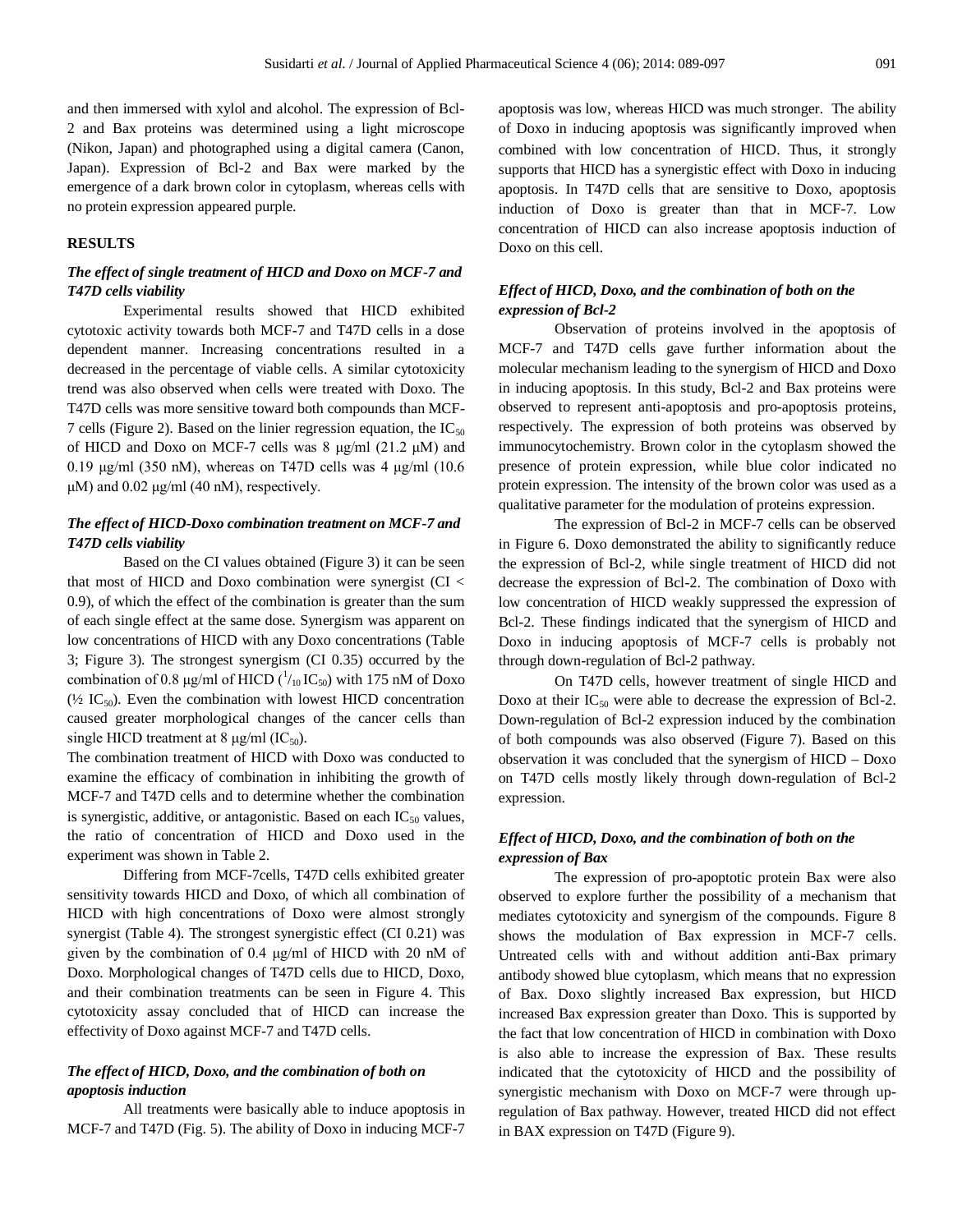and then immersed with xylol and alcohol. The expression of Bcl-2 and Bax proteins was determined using a light microscope (Nikon, Japan) and photographed using a digital camera (Canon, Japan). Expression of Bcl-2 and Bax were marked by the emergence of a dark brown color in cytoplasm, whereas cells with no protein expression appeared purple.

#### **RESULTS**

# *The effect of single treatment of HICD and Doxo on MCF-7 and T47D cells viability*

Experimental results showed that HICD exhibited cytotoxic activity towards both MCF-7 and T47D cells in a dose dependent manner. Increasing concentrations resulted in a decreased in the percentage of viable cells. A similar cytotoxicity trend was also observed when cells were treated with Doxo. The T47D cells was more sensitive toward both compounds than MCF-7 cells (Figure 2). Based on the linier regression equation, the  $IC_{50}$ of HICD and Doxo on MCF-7 cells was 8 μg/ml (21.2 μM) and 0.19 μg/ml (350 nM), whereas on T47D cells was 4 μg/ml (10.6  $\mu$ M) and 0.02  $\mu$ g/ml (40 nM), respectively.

# *The effect of HICD-Doxo combination treatment on MCF-7 and T47D cells viability*

Based on the CI values obtained (Figure 3) it can be seen that most of HICD and Doxo combination were synergist (CI < 0.9), of which the effect of the combination is greater than the sum of each single effect at the same dose. Synergism was apparent on low concentrations of HICD with any Doxo concentrations (Table 3; Figure 3). The strongest synergism (CI 0.35) occurred by the combination of 0.8  $\mu$ g/ml of HICD ( $\frac{1}{10}$ IC<sub>50</sub>) with 175 nM of Doxo ( $\frac{1}{2}$  IC<sub>50</sub>). Even the combination with lowest HICD concentration caused greater morphological changes of the cancer cells than single HICD treatment at 8  $\mu$ g/ml (IC<sub>50</sub>).

The combination treatment of HICD with Doxo was conducted to examine the efficacy of combination in inhibiting the growth of MCF-7 and T47D cells and to determine whether the combination is synergistic, additive, or antagonistic. Based on each  $IC_{50}$  values, the ratio of concentration of HICD and Doxo used in the experiment was shown in Table 2.

Differing from MCF-7cells, T47D cells exhibited greater sensitivity towards HICD and Doxo, of which all combination of HICD with high concentrations of Doxo were almost strongly synergist (Table 4). The strongest synergistic effect (CI 0.21) was given by the combination of 0.4 μg/ml of HICD with 20 nM of Doxo. Morphological changes of T47D cells due to HICD, Doxo, and their combination treatments can be seen in Figure 4. This cytotoxicity assay concluded that of HICD can increase the effectivity of Doxo against MCF-7 and T47D cells.

# *The effect of HICD, Doxo, and the combination of both on apoptosis induction*

All treatments were basically able to induce apoptosis in MCF-7 and T47D (Fig. 5). The ability of Doxo in inducing MCF-7 apoptosis was low, whereas HICD was much stronger. The ability of Doxo in inducing apoptosis was significantly improved when combined with low concentration of HICD. Thus, it strongly supports that HICD has a synergistic effect with Doxo in inducing apoptosis. In T47D cells that are sensitive to Doxo, apoptosis induction of Doxo is greater than that in MCF-7. Low concentration of HICD can also increase apoptosis induction of Doxo on this cell.

# *Effect of HICD, Doxo, and the combination of both on the expression of Bcl-2*

Observation of proteins involved in the apoptosis of MCF-7 and T47D cells gave further information about the molecular mechanism leading to the synergism of HICD and Doxo in inducing apoptosis. In this study, Bcl-2 and Bax proteins were observed to represent anti-apoptosis and pro-apoptosis proteins, respectively. The expression of both proteins was observed by immunocytochemistry. Brown color in the cytoplasm showed the presence of protein expression, while blue color indicated no protein expression. The intensity of the brown color was used as a qualitative parameter for the modulation of proteins expression.

The expression of Bcl-2 in MCF-7 cells can be observed in Figure 6. Doxo demonstrated the ability to significantly reduce the expression of Bcl-2, while single treatment of HICD did not decrease the expression of Bcl-2. The combination of Doxo with low concentration of HICD weakly suppressed the expression of Bcl-2. These findings indicated that the synergism of HICD and Doxo in inducing apoptosis of MCF-7 cells is probably not through down-regulation of Bcl-2 pathway.

On T47D cells, however treatment of single HICD and Doxo at their  $IC_{50}$  were able to decrease the expression of Bcl-2. Down-regulation of Bcl-2 expression induced by the combination of both compounds was also observed (Figure 7). Based on this observation it was concluded that the synergism of HICD – Doxo on T47D cells mostly likely through down-regulation of Bcl-2 expression.

# *Effect of HICD, Doxo, and the combination of both on the expression of Bax*

The expression of pro-apoptotic protein Bax were also observed to explore further the possibility of a mechanism that mediates cytotoxicity and synergism of the compounds. Figure 8 shows the modulation of Bax expression in MCF-7 cells. Untreated cells with and without addition anti-Bax primary antibody showed blue cytoplasm, which means that no expression of Bax. Doxo slightly increased Bax expression, but HICD increased Bax expression greater than Doxo. This is supported by the fact that low concentration of HICD in combination with Doxo is also able to increase the expression of Bax. These results indicated that the cytotoxicity of HICD and the possibility of synergistic mechanism with Doxo on MCF-7 were through upregulation of Bax pathway. However, treated HICD did not effect in BAX expression on T47D (Figure 9).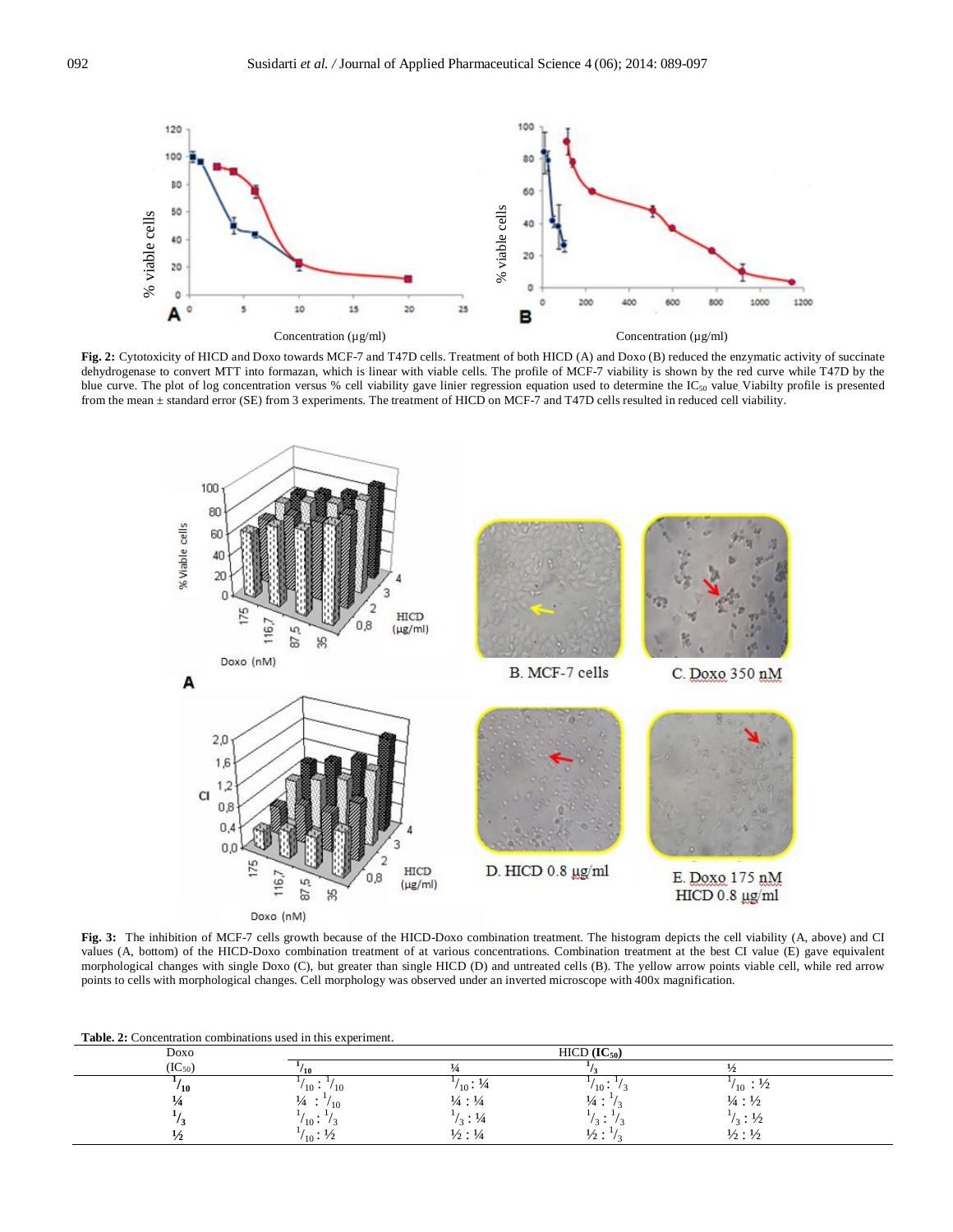

**Fig. 2:** Cytotoxicity of HICD and Doxo towards MCF-7 and T47D cells. Treatment of both HICD (A) and Doxo (B) reduced the enzymatic activity of succinate dehydrogenase to convert MTT into formazan, which is linear with viable cells. The profile of MCF-7 viability is shown by the red curve while T47D by the blue curve. The plot of log concentration versus % cell viability gave linier regression equation used to determine the  $IC_{50}$  value. Viabilty profile is presented from the mean ± standard error (SE) from 3 experiments. The treatment of HICD on MCF-7 and T47D cells resulted in reduced cell viability.



**Fig. 3:** The inhibition of MCF-7 cells growth because of the HICD-Doxo combination treatment. The histogram depicts the cell viability (A, above) and CI values (A, bottom) of the HICD-Doxo combination treatment of at various concentrations. Combination treatment at the best CI value (E) gave equivalent morphological changes with single Doxo (C), but greater than single HICD (D) and untreated cells (B). The yellow arrow points viable cell, while red arrow points to cells with morphological changes. Cell morphology was observed under an inverted microscope with 400x magnification.

**Table. 2:** Concentration combinations used in this experiment.

| Doxo        |                                      | $HICD (IC_{50})$              |                                |                                |  |
|-------------|--------------------------------------|-------------------------------|--------------------------------|--------------------------------|--|
| $(IC_{50})$ | $10^{-1}$                            |                               |                                |                                |  |
| 110         | $\prime$ 10 $\cdot$<br>$^{\prime}10$ | $/_{10}$ : $/4$               | $10 -$                         | $\frac{1}{10}$ : $\frac{1}{2}$ |  |
|             | $\frac{1}{4}$<br>/10<br>$\bullet$    | $\frac{1}{4}$ : $\frac{1}{4}$ | $\frac{1}{4}$ :                | $\frac{1}{4}$ : $\frac{1}{2}$  |  |
|             | $'10 -$                              | $\frac{1}{3}$ : $\frac{1}{4}$ | $\overline{\phantom{a}}$<br>к. | $\frac{1}{3}$ : 1/2            |  |
|             | $V_{10}$ : ½                         | $\frac{1}{2}$ : $\frac{1}{4}$ | $\frac{1}{2}$ :                | $\frac{1}{2}$ : $\frac{1}{2}$  |  |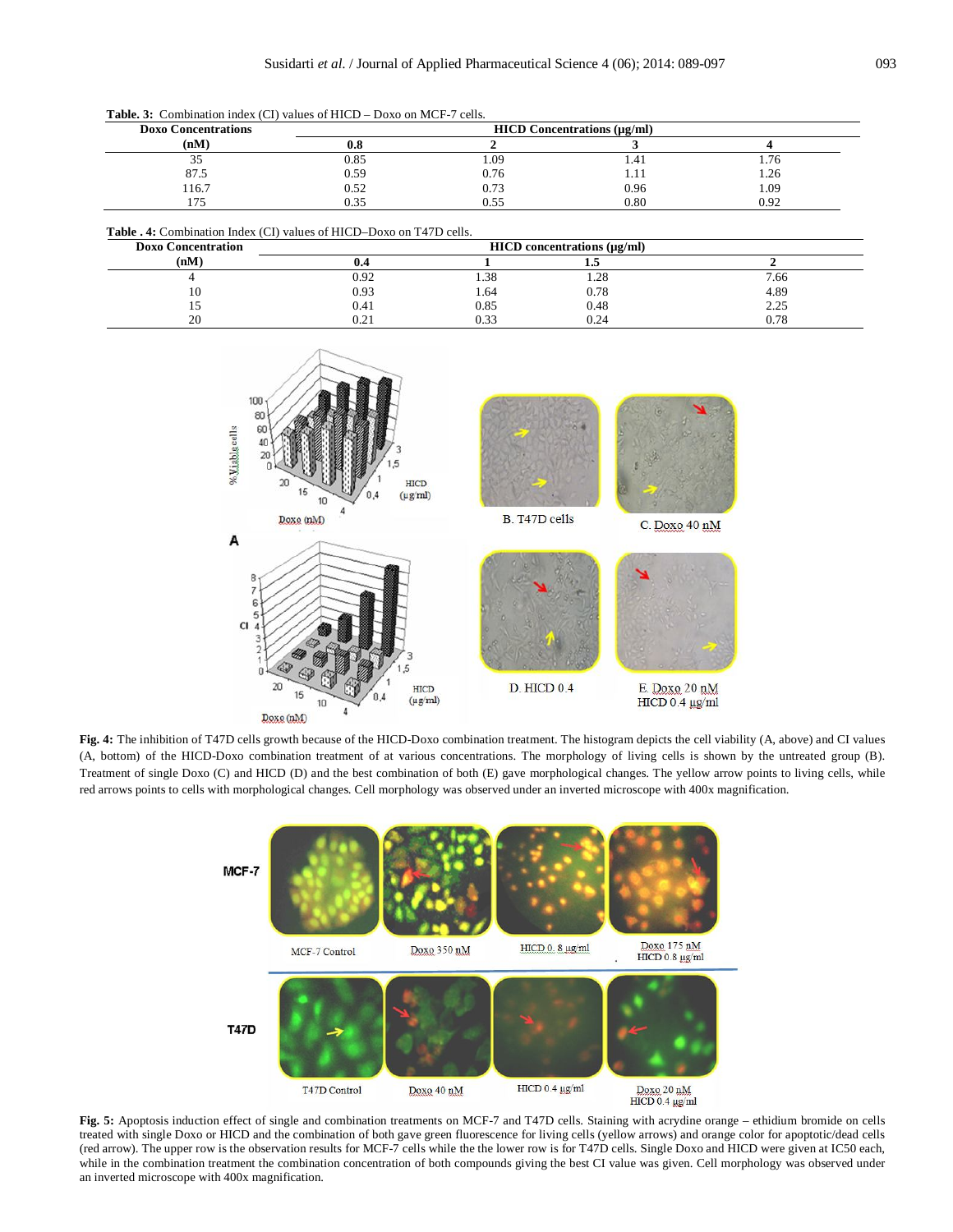**Table. 3:** Combination index (CI) values of HICD – Doxo on MCF-7 cells.

| <b>Doxo Concentrations</b> | <b>HICD Concentrations (µg/ml)</b> |      |      |      |
|----------------------------|------------------------------------|------|------|------|
| (nM)                       | v.o                                |      |      |      |
| ن ر                        | 0.85                               | 1.09 | 1.4. | 1.76 |
| 87.5                       | 0.59                               | 0.76 | 1.11 | 1.26 |
| 116.7                      | 0.52                               | 0.73 | 0.96 | 1.09 |
| $\cdots$                   | 0.35                               | 0.55 | 0.80 | 0.92 |

| <b>Table . 4:</b> Combination Index (CI) values of HICD–Doxo on T47D cells. |
|-----------------------------------------------------------------------------|
|-----------------------------------------------------------------------------|

| <b>Doxo Concentration</b> | $HICD$ concentrations ( $\mu$ g/ml) |                  |      |           |
|---------------------------|-------------------------------------|------------------|------|-----------|
| (nM)                      | U.4                                 |                  | د. د |           |
|                           | 0.92                                | $\Omega$<br>1.38 | 1.28 | 7.66      |
| 10                        | 0.93                                | 1.64             | 0.78 | 4.89      |
| 1 J                       | 0.41                                | 0.85             | 0.48 | 2.25      |
| 20                        | 0.21                                | 0.33             | 0.24 | $_{0.78}$ |



**Fig. 4:** The inhibition of T47D cells growth because of the HICD-Doxo combination treatment. The histogram depicts the cell viability (A, above) and CI values (A, bottom) of the HICD-Doxo combination treatment of at various concentrations. The morphology of living cells is shown by the untreated group (B). Treatment of single Doxo (C) and HICD (D) and the best combination of both (E) gave morphological changes. The yellow arrow points to living cells, while red arrows points to cells with morphological changes. Cell morphology was observed under an inverted microscope with 400x magnification.



**Fig. 5:** Apoptosis induction effect of single and combination treatments on MCF-7 and T47D cells. Staining with acrydine orange – ethidium bromide on cells treated with single Doxo or HICD and the combination of both gave green fluorescence for living cells (yellow arrows) and orange color for apoptotic/dead cells (red arrow). The upper row is the observation results for MCF-7 cells while the the lower row is for T47D cells. Single Doxo and HICD were given at IC50 each, while in the combination treatment the combination concentration of both compounds giving the best CI value was given. Cell morphology was observed under an inverted microscope with 400x magnification.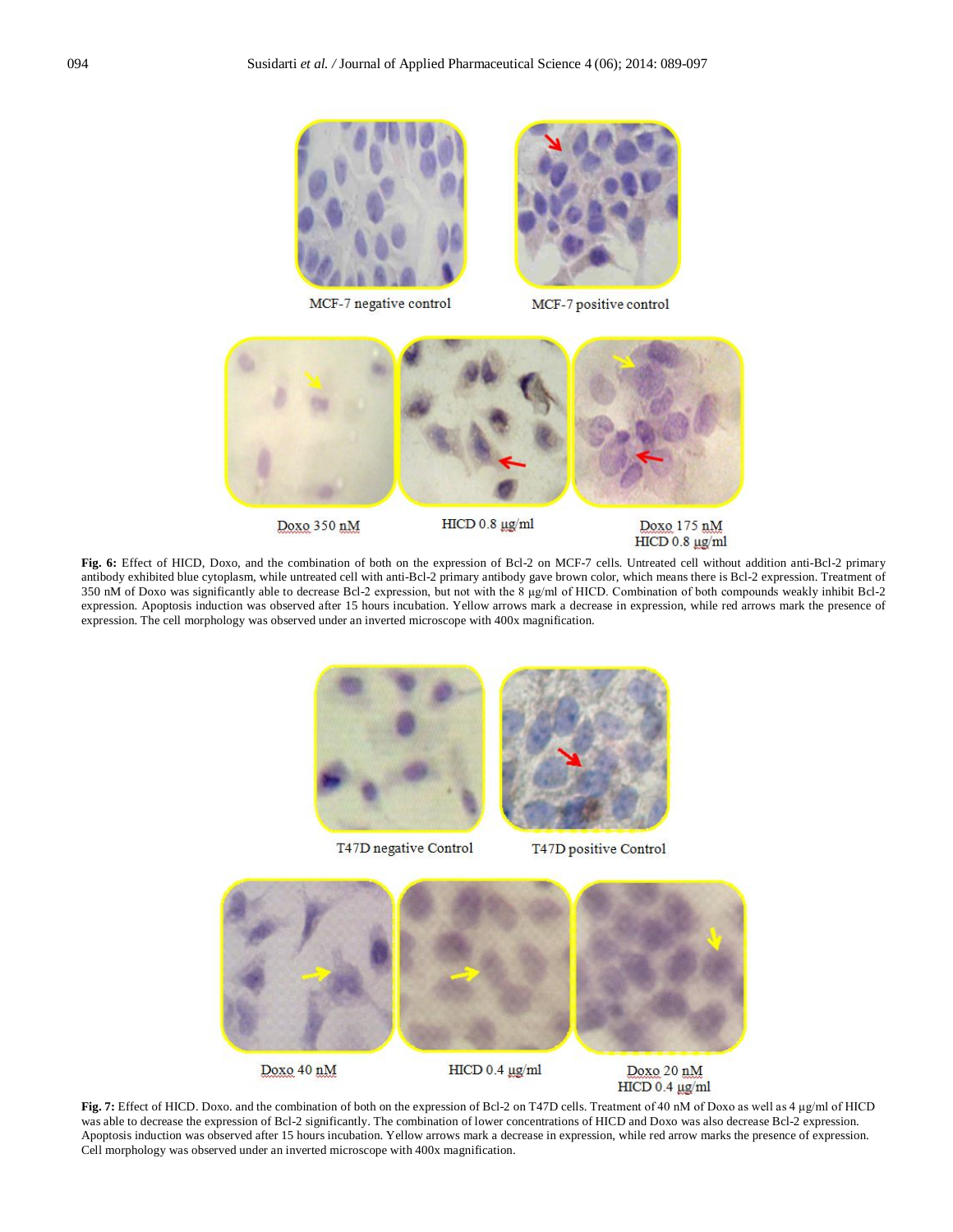

MCF-7 negative control



MCF-7 positive control



Doxo 350 nM

HICD 0.8 µg/ml

Doxo 175 nM HICD 0.8 µg/ml

**Fig. 6:** Effect of HICD, Doxo, and the combination of both on the expression of Bcl-2 on MCF-7 cells. Untreated cell without addition anti-Bcl-2 primary antibody exhibited blue cytoplasm, while untreated cell with anti-Bcl-2 primary antibody gave brown color, which means there is Bcl-2 expression. Treatment of 350 nM of Doxo was significantly able to decrease Bcl-2 expression, but not with the 8 μg/ml of HICD. Combination of both compounds weakly inhibit Bcl-2 expression. Apoptosis induction was observed after 15 hours incubation. Yellow arrows mark a decrease in expression, while red arrows mark the presence of expression. The cell morphology was observed under an inverted microscope with 400x magnification.



**Fig. 7:** Effect of HICD. Doxo. and the combination of both on the expression of Bcl-2 on T47D cells. Treatment of 40 nM of Doxo as well as 4 μg/ml of HICD was able to decrease the expression of Bcl-2 significantly. The combination of lower concentrations of HICD and Doxo was also decrease Bcl-2 expression. Apoptosis induction was observed after 15 hours incubation. Yellow arrows mark a decrease in expression, while red arrow marks the presence of expression. Cell morphology was observed under an inverted microscope with 400x magnification.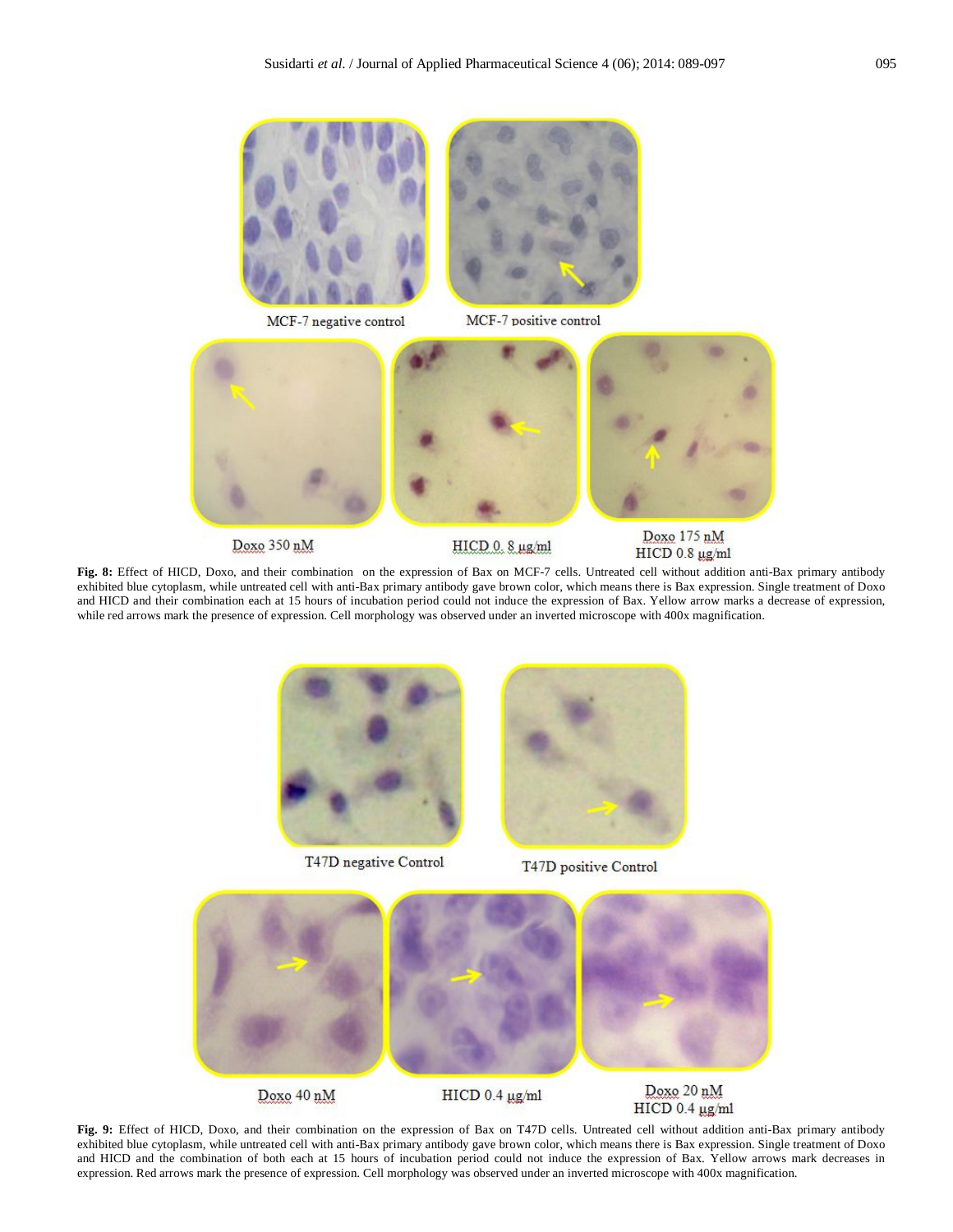





MCF-7 positive control



Doxo 350 nM

HICD 0.8 µg/ml

Doxo 175 nM HICD 0.8 µg/ml

**Fig. 8:** Effect of HICD, Doxo, and their combination on the expression of Bax on MCF-7 cells. Untreated cell without addition anti-Bax primary antibody exhibited blue cytoplasm, while untreated cell with anti-Bax primary antibody gave brown color, which means there is Bax expression. Single treatment of Doxo and HICD and their combination each at 15 hours of incubation period could not induce the expression of Bax. Yellow arrow marks a decrease of expression, while red arrows mark the presence of expression. Cell morphology was observed under an inverted microscope with 400x magnification.



T47D negative Control



T47D positive Control



**Fig. 9:** Effect of HICD, Doxo, and their combination on the expression of Bax on T47D cells. Untreated cell without addition anti-Bax primary antibody exhibited blue cytoplasm, while untreated cell with anti-Bax primary antibody gave brown color, which means there is Bax expression. Single treatment of Doxo and HICD and the combination of both each at 15 hours of incubation period could not induce the expression of Bax. Yellow arrows mark decreases in expression. Red arrows mark the presence of expression. Cell morphology was observed under an inverted microscope with 400x magnification.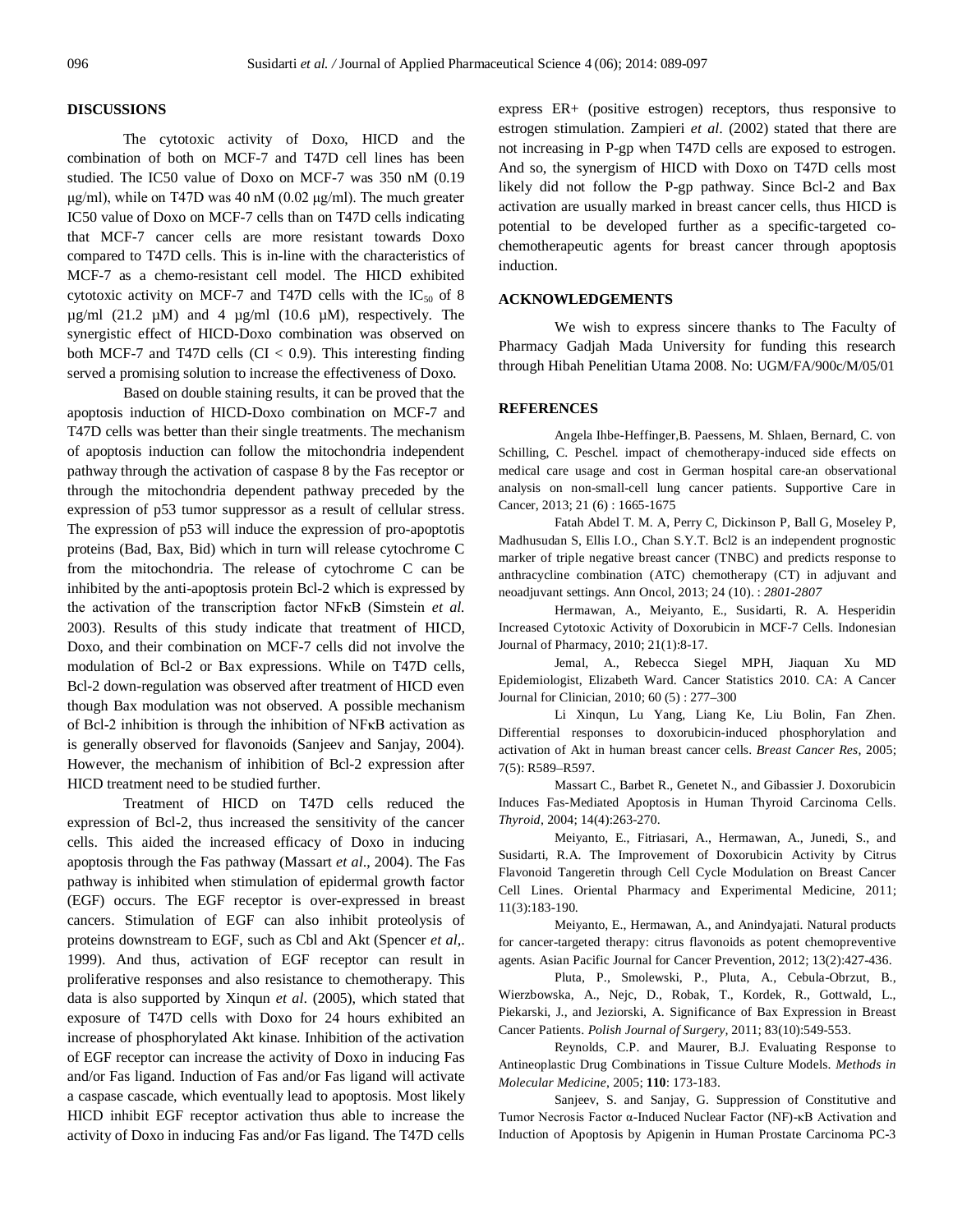#### **DISCUSSIONS**

The cytotoxic activity of Doxo, HICD and the combination of both on MCF-7 and T47D cell lines has been studied. The IC50 value of Doxo on MCF-7 was 350 nM (0.19 μg/ml), while on T47D was 40 nM (0.02 μg/ml). The much greater IC50 value of Doxo on MCF-7 cells than on T47D cells indicating that MCF-7 cancer cells are more resistant towards Doxo compared to T47D cells. This is in-line with the characteristics of MCF-7 as a chemo-resistant cell model. The HICD exhibited cytotoxic activity on MCF-7 and T47D cells with the  $IC_{50}$  of 8  $\mu$ g/ml (21.2  $\mu$ M) and 4  $\mu$ g/ml (10.6  $\mu$ M), respectively. The synergistic effect of HICD-Doxo combination was observed on both MCF-7 and T47D cells  $(CI < 0.9)$ . This interesting finding served a promising solution to increase the effectiveness of Doxo.

Based on double staining results, it can be proved that the apoptosis induction of HICD-Doxo combination on MCF-7 and T47D cells was better than their single treatments. The mechanism of apoptosis induction can follow the mitochondria independent pathway through the activation of caspase 8 by the Fas receptor or through the mitochondria dependent pathway preceded by the expression of p53 tumor suppressor as a result of cellular stress. The expression of p53 will induce the expression of pro-apoptotis proteins (Bad, Bax, Bid) which in turn will release cytochrome C from the mitochondria. The release of cytochrome C can be inhibited by the anti-apoptosis protein Bcl-2 which is expressed by the activation of the transcription factor NFκB (Simstein *et al.* 2003). Results of this study indicate that treatment of HICD, Doxo, and their combination on MCF-7 cells did not involve the modulation of Bcl-2 or Bax expressions. While on T47D cells, Bcl-2 down-regulation was observed after treatment of HICD even though Bax modulation was not observed. A possible mechanism of Bcl-2 inhibition is through the inhibition of NFκB activation as is generally observed for flavonoids (Sanjeev and Sanjay, 2004). However, the mechanism of inhibition of Bcl-2 expression after HICD treatment need to be studied further.

Treatment of HICD on T47D cells reduced the expression of Bcl-2, thus increased the sensitivity of the cancer cells. This aided the increased efficacy of Doxo in inducing apoptosis through the Fas pathway (Massart *et al*., 2004). The Fas pathway is inhibited when stimulation of epidermal growth factor (EGF) occurs. The EGF receptor is over-expressed in breast cancers. Stimulation of EGF can also inhibit proteolysis of proteins downstream to EGF, such as Cbl and Akt (Spencer *et al*,. 1999). And thus, activation of EGF receptor can result in proliferative responses and also resistance to chemotherapy. This data is also supported by Xinqun *et al*. (2005), which stated that exposure of T47D cells with Doxo for 24 hours exhibited an increase of phosphorylated Akt kinase. Inhibition of the activation of EGF receptor can increase the activity of Doxo in inducing Fas and/or Fas ligand. Induction of Fas and/or Fas ligand will activate a caspase cascade, which eventually lead to apoptosis. Most likely HICD inhibit EGF receptor activation thus able to increase the activity of Doxo in inducing Fas and/or Fas ligand. The T47D cells

express ER+ (positive estrogen) receptors, thus responsive to estrogen stimulation. Zampieri *et al*. (2002) stated that there are not increasing in P-gp when T47D cells are exposed to estrogen. And so, the synergism of HICD with Doxo on T47D cells most likely did not follow the P-gp pathway. Since Bcl-2 and Bax activation are usually marked in breast cancer cells, thus HICD is potential to be developed further as a specific-targeted cochemotherapeutic agents for breast cancer through apoptosis induction.

#### **ACKNOWLEDGEMENTS**

We wish to express sincere thanks to The Faculty of Pharmacy Gadjah Mada University for funding this research through Hibah Penelitian Utama 2008. No: UGM/FA/900c/M/05/01

#### **REFERENCES**

Angela Ihbe-Heffinger,B. Paessens, M. Shlaen, Bernard, C. von Schilling, C. Peschel. impact of chemotherapy-induced side effects on medical care usage and cost in German hospital care-an observational analysis on non-small-cell lung cancer patients. Supportive Care in Cancer, 2013; 21 (6) : 1665-1675

Fatah Abdel T. M. A, Perry C, Dickinson P, Ball G, Moseley P, Madhusudan S, Ellis I.O., Chan S.Y.T. Bcl2 is an independent prognostic marker of triple negative breast cancer (TNBC) and predicts response to anthracycline combination (ATC) chemotherapy (CT) in adjuvant and neoadjuvant settings. Ann Oncol, 2013; 24 (10). : *2801-2807*

Hermawan, A., Meiyanto, E., Susidarti, R. A. Hesperidin Increased Cytotoxic Activity of Doxorubicin in MCF-7 Cells. Indonesian Journal of Pharmacy, 2010; 21(1):8-17.

Jemal, A., Rebecca Siegel MPH, Jiaquan Xu MD Epidemiologist, Elizabeth Ward. Cancer Statistics 2010. CA: A Cancer Journal for Clinician, 2010; 60 (5) : 277–300

Li Xinqun, Lu Yang, Liang Ke, Liu Bolin, Fan Zhen. Differential responses to doxorubicin-induced phosphorylation and activation of Akt in human breast cancer cells. *Breast Cancer Res*, 2005; 7(5): R589–R597.

Massart C., Barbet R., Genetet N., and Gibassier J. Doxorubicin Induces Fas-Mediated Apoptosis in Human Thyroid Carcinoma Cells. *Thyroid*, 2004; 14(4):263-270.

Meiyanto, E., Fitriasari, A., Hermawan, A., Junedi, S., and Susidarti, R.A. The Improvement of Doxorubicin Activity by Citrus Flavonoid Tangeretin through Cell Cycle Modulation on Breast Cancer Cell Lines. Oriental Pharmacy and Experimental Medicine, 2011; 11(3):183-190.

Meiyanto, E., Hermawan, A., and Anindyajati. Natural products for cancer-targeted therapy: citrus flavonoids as potent chemopreventive agents. Asian Pacific Journal for Cancer Prevention, 2012; 13(2):427-436.

Pluta, P., Smolewski, P., Pluta, A., Cebula-Obrzut, B., Wierzbowska, A., Nejc, D., Robak, T., Kordek, R., Gottwald, L., Piekarski, J., and Jeziorski, A. Significance of Bax Expression in Breast Cancer Patients. *Polish Journal of Surgery,* 2011; 83(10):549-553.

Reynolds, C.P. and Maurer, B.J. Evaluating Response to Antineoplastic Drug Combinations in Tissue Culture Models. *Methods in Molecular Medicine*, 2005; **110**: 173-183.

Sanjeev, S. and Sanjay, G. Suppression of Constitutive and Tumor Necrosis Factor α-Induced Nuclear Factor (NF)-κB Activation and Induction of Apoptosis by Apigenin in Human Prostate Carcinoma PC-3